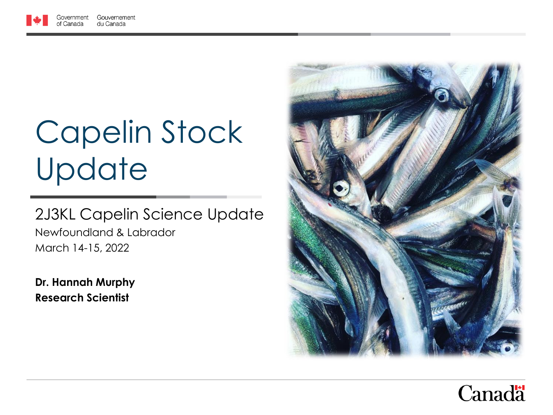# Capelin Stock **Update**

#### 2J3KL Capelin Science Update Newfoundland & Labrador March 14-15, 2022

**Dr. Hannah Murphy Research Scientist**



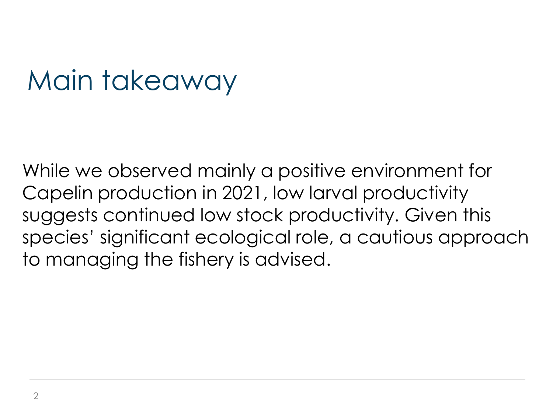### Main takeaway

While we observed mainly a positive environment for Capelin production in 2021, low larval productivity suggests continued low stock productivity. Given this species' significant ecological role, a cautious approach to managing the fishery is advised.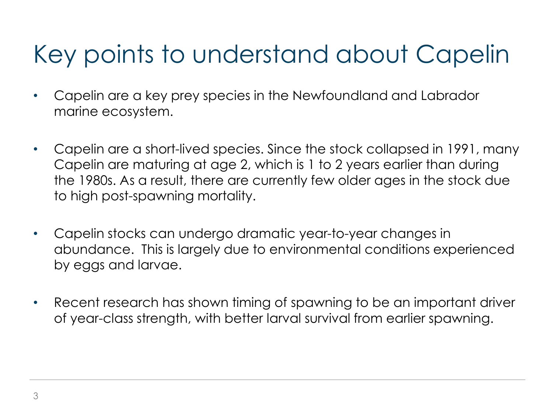#### Key points to understand about Capelin

- Capelin are a key prey species in the Newfoundland and Labrador marine ecosystem.
- Capelin are a short-lived species. Since the stock collapsed in 1991, many Capelin are maturing at age 2, which is 1 to 2 years earlier than during the 1980s. As a result, there are currently few older ages in the stock due to high post-spawning mortality.
- Capelin stocks can undergo dramatic year-to-year changes in abundance. This is largely due to environmental conditions experienced by eggs and larvae.
- Recent research has shown timing of spawning to be an important driver of year-class strength, with better larval survival from earlier spawning.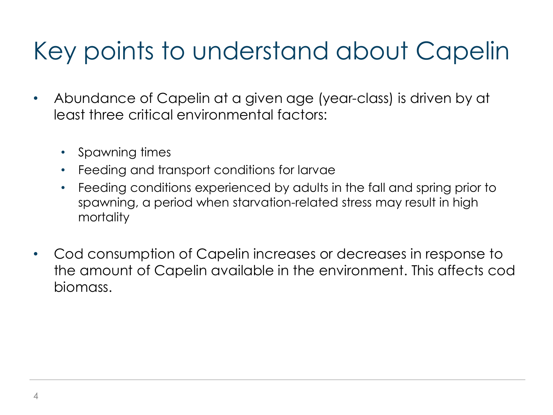#### Key points to understand about Capelin

- Abundance of Capelin at a given age (year-class) is driven by at least three critical environmental factors:
	- Spawning times
	- Feeding and transport conditions for larvae
	- Feeding conditions experienced by adults in the fall and spring prior to spawning, a period when starvation-related stress may result in high mortality
- Cod consumption of Capelin increases or decreases in response to the amount of Capelin available in the environment. This affects cod biomass.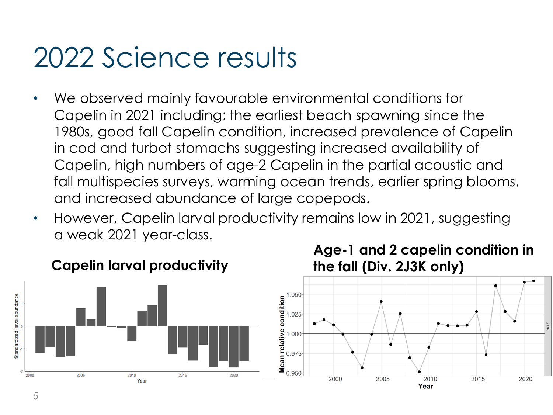### 2022 Science results

- We observed mainly favourable environmental conditions for Capelin in 2021 including: the earliest beach spawning since the 1980s, good fall Capelin condition, increased prevalence of Capelin in cod and turbot stomachs suggesting increased availability of Capelin, high numbers of age-2 Capelin in the partial acoustic and fall multispecies surveys, warming ocean trends, earlier spring blooms, and increased abundance of large copepods.
- However, Capelin larval productivity remains low in 2021, suggesting a weak 2021 year-class.





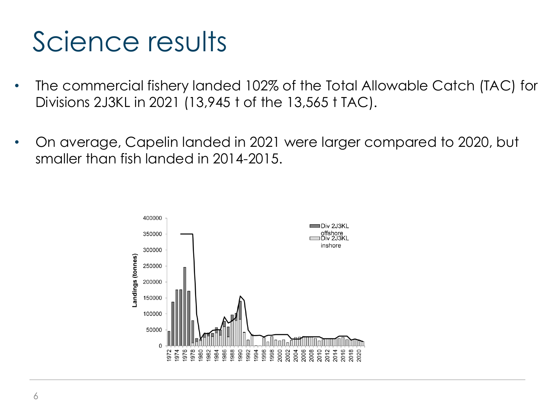# Science results

- The commercial fishery landed 102% of the Total Allowable Catch (TAC) for Divisions 2J3KL in 2021 (13,945 t of the 13,565 t TAC).
- On average, Capelin landed in 2021 were larger compared to 2020, but smaller than fish landed in 2014-2015.

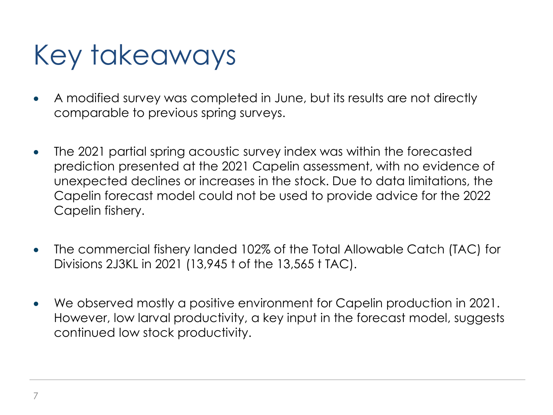# Key takeaways

- A modified survey was completed in June, but its results are not directly comparable to previous spring surveys.
- The 2021 partial spring acoustic survey index was within the forecasted prediction presented at the 2021 Capelin assessment, with no evidence of unexpected declines or increases in the stock. Due to data limitations, the Capelin forecast model could not be used to provide advice for the 2022 Capelin fishery.
- The commercial fishery landed 102% of the Total Allowable Catch (TAC) for Divisions 2J3KL in 2021 (13,945 t of the 13,565 t TAC).
- We observed mostly a positive environment for Capelin production in 2021. However, low larval productivity, a key input in the forecast model, suggests continued low stock productivity.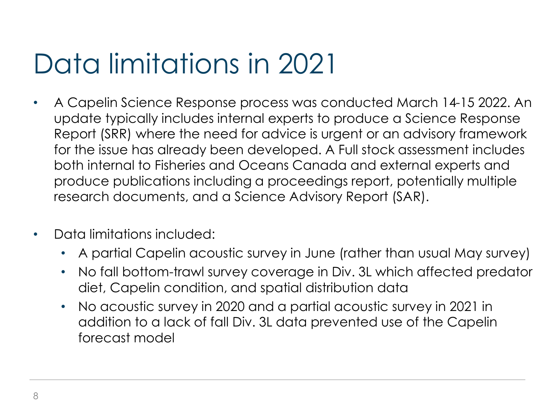# Data limitations in 2021

- A Capelin Science Response process was conducted March 14-15 2022. An update typically includes internal experts to produce a Science Response Report (SRR) where the need for advice is urgent or an advisory framework for the issue has already been developed. A Full stock assessment includes both internal to Fisheries and Oceans Canada and external experts and produce publications including a proceedings report, potentially multiple research documents, and a Science Advisory Report (SAR).
- Data limitations included:
	- A partial Capelin acoustic survey in June (rather than usual May survey)
	- No fall bottom-trawl survey coverage in Div. 3L which affected predator diet, Capelin condition, and spatial distribution data
	- No acoustic survey in 2020 and a partial acoustic survey in 2021 in addition to a lack of fall Div. 3L data prevented use of the Capelin forecast model